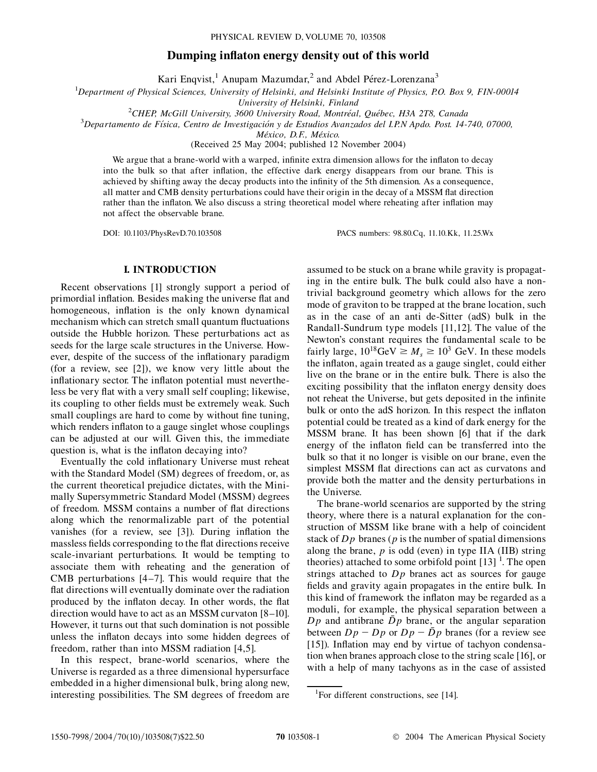# **Dumping inflaton energy density out of this world**

Kari Enqvist,<sup>1</sup> Anupam Mazumdar,<sup>2</sup> and Abdel Pérez-Lorenzana<sup>3</sup>

1 *Department of Physical Sciences, University of Helsinki, and Helsinki Institute of Physics, P.O. Box 9, FIN-00014*

*University of Helsinki, Finland* <sup>2</sup> <sup>2</sup>CHEP, McGill University, 3600 University Road, Montréal, Québec, H3A 2T8, Canada<sup>3</sup><br><sup>3</sup>Departamento de Física, Centro de Investigación y de Estudios Avanzados del LPN Ando, Post, 14

*Departamento de Fı´sica, Centro de Investigacio´n y de Estudios Avanzados del I.P.N Apdo. Post. 14-740, 07000,*

*Me´xico, D.F., Me´xico.*

(Received 25 May 2004; published 12 November 2004)

We argue that a brane-world with a warped, infinite extra dimension allows for the inflaton to decay into the bulk so that after inflation, the effective dark energy disappears from our brane. This is achieved by shifting away the decay products into the infinity of the 5th dimension. As a consequence, all matter and CMB density perturbations could have their origin in the decay of a MSSM flat direction rather than the inflaton. We also discuss a string theoretical model where reheating after inflation may not affect the observable brane.

DOI: 10.1103/PhysRevD.70.103508 PACS numbers: 98.80.Cq, 11.10.Kk, 11.25.Wx

## **I. INTRODUCTION**

Recent observations [1] strongly support a period of primordial inflation. Besides making the universe flat and homogeneous, inflation is the only known dynamical mechanism which can stretch small quantum fluctuations outside the Hubble horizon. These perturbations act as seeds for the large scale structures in the Universe. However, despite of the success of the inflationary paradigm (for a review, see [2]), we know very little about the inflationary sector. The inflaton potential must nevertheless be very flat with a very small self coupling; likewise, its coupling to other fields must be extremely weak. Such small couplings are hard to come by without fine tuning, which renders inflaton to a gauge singlet whose couplings can be adjusted at our will. Given this, the immediate question is, what is the inflaton decaying into?

Eventually the cold inflationary Universe must reheat with the Standard Model (SM) degrees of freedom, or, as the current theoretical prejudice dictates, with the Minimally Supersymmetric Standard Model (MSSM) degrees of freedom. MSSM contains a number of flat directions along which the renormalizable part of the potential vanishes (for a review, see [3]). During inflation the massless fields corresponding to the flat directions receive scale-invariant perturbations. It would be tempting to associate them with reheating and the generation of CMB perturbations [4–7]. This would require that the flat directions will eventually dominate over the radiation produced by the inflaton decay. In other words, the flat direction would have to act as an MSSM curvaton [8–10]. However, it turns out that such domination is not possible unless the inflaton decays into some hidden degrees of freedom, rather than into MSSM radiation [4,5].

In this respect, brane-world scenarios, where the Universe is regarded as a three dimensional hypersurface embedded in a higher dimensional bulk, bring along new, interesting possibilities. The SM degrees of freedom are

assumed to be stuck on a brane while gravity is propagating in the entire bulk. The bulk could also have a nontrivial background geometry which allows for the zero mode of graviton to be trapped at the brane location, such as in the case of an anti de-Sitter (adS) bulk in the Randall-Sundrum type models [11,12]. The value of the Newton's constant requires the fundamental scale to be fairly large,  $10^{18}$ GeV  $\geq M_s \geq 10^3$  GeV. In these models the inflaton, again treated as a gauge singlet, could either live on the brane or in the entire bulk. There is also the exciting possibility that the inflaton energy density does not reheat the Universe, but gets deposited in the infinite bulk or onto the adS horizon. In this respect the inflaton potential could be treated as a kind of dark energy for the MSSM brane. It has been shown [6] that if the dark energy of the inflaton field can be transferred into the bulk so that it no longer is visible on our brane, even the simplest MSSM flat directions can act as curvatons and provide both the matter and the density perturbations in the Universe.

The brane-world scenarios are supported by the string theory, where there is a natural explanation for the construction of MSSM like brane with a help of coincident stack of *Dp* branes (*p* is the number of spatial dimensions along the brane,  $p$  is odd (even) in type IIA (IIB) string theories) attached to some orbifold point  $[13]$ <sup>1</sup>. The open strings attached to *Dp* branes act as sources for gauge fields and gravity again propagates in the entire bulk. In this kind of framework the inflaton may be regarded as a moduli, for example, the physical separation between a  $Dp$  and antibrane  $\bar{D}p$  brane, or the angular separation between  $Dp - Dp$  or  $Dp - \bar{D}p$  branes (for a review see [15]). Inflation may end by virtue of tachyon condensation when branes approach close to the string scale [16], or with a help of many tachyons as in the case of assisted

<sup>&</sup>lt;sup>1</sup>For different constructions, see [14].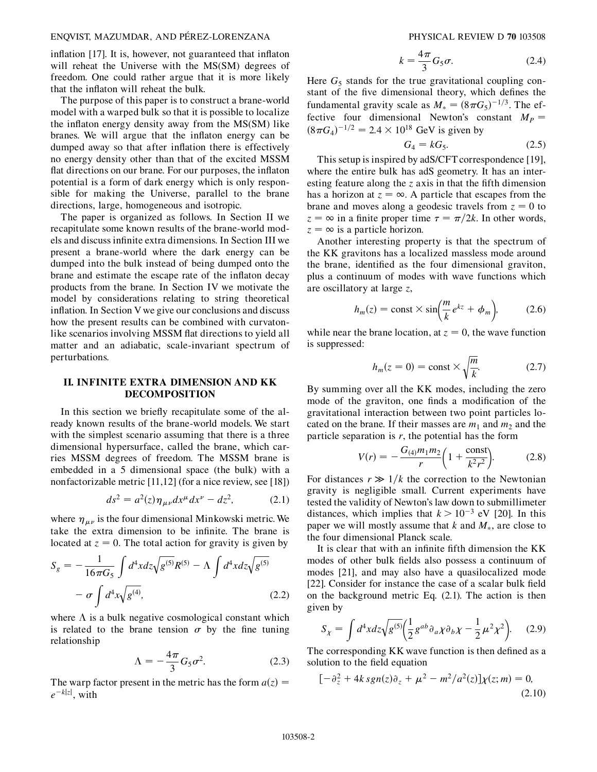### ENQVIST, MAZUMDAR, AND PE´REZ-LORENZANA PHYSICAL REVIEW D **70** 103508

inflation [17]. It is, however, not guaranteed that inflaton will reheat the Universe with the MS(SM) degrees of freedom. One could rather argue that it is more likely that the inflaton will reheat the bulk.

The purpose of this paper is to construct a brane-world model with a warped bulk so that it is possible to localize the inflaton energy density away from the MS(SM) like branes. We will argue that the inflaton energy can be dumped away so that after inflation there is effectively no energy density other than that of the excited MSSM flat directions on our brane. For our purposes, the inflaton potential is a form of dark energy which is only responsible for making the Universe, parallel to the brane directions, large, homogeneous and isotropic.

The paper is organized as follows. In Section II we recapitulate some known results of the brane-world models and discuss infinite extra dimensions. In Section III we present a brane-world where the dark energy can be dumped into the bulk instead of being dumped onto the brane and estimate the escape rate of the inflaton decay products from the brane. In Section IV we motivate the model by considerations relating to string theoretical inflation. In Section V we give our conclusions and discuss how the present results can be combined with curvatonlike scenarios involving MSSM flat directions to yield all matter and an adiabatic, scale-invariant spectrum of perturbations.

## **II. INFINITE EXTRA DIMENSION AND KK DECOMPOSITION**

In this section we briefly recapitulate some of the already known results of the brane-world models. We start with the simplest scenario assuming that there is a three dimensional hypersurface, called the brane, which carries MSSM degrees of freedom. The MSSM brane is embedded in a 5 dimensional space (the bulk) with a nonfactorizable metric [11,12] (for a nice review, see [18])

$$
ds^{2} = a^{2}(z)\eta_{\mu\nu}dx^{\mu}dx^{\nu} - dz^{2}, \qquad (2.1)
$$

where  $\eta_{\mu\nu}$  is the four dimensional Minkowski metric. We take the extra dimension to be infinite. The brane is located at  $z = 0$ . The total action for gravity is given by

$$
S_g = -\frac{1}{16\pi G_5} \int d^4x dz \sqrt{g^{(5)}} R^{(5)} - \Lambda \int d^4x dz \sqrt{g^{(5)}}
$$

$$
- \sigma \int d^4x \sqrt{g^{(4)}},
$$
(2.2)

where  $\Lambda$  is a bulk negative cosmological constant which is related to the brane tension  $\sigma$  by the fine tuning relationship

$$
\Lambda = -\frac{4\pi}{3} G_5 \sigma^2. \tag{2.3}
$$

The warp factor present in the metric has the form  $a(z) =$  $e^{-k|z|}$ , with

$$
k = \frac{4\pi}{3}G_5\sigma.
$$
 (2.4)

Here  $G<sub>5</sub>$  stands for the true gravitational coupling constant of the five dimensional theory, which defines the fundamental gravity scale as  $M_* = (8\pi G_5)^{-1/3}$ . The effective four dimensional Newton's constant  $M_p =$  $(8\pi G_4)^{-1/2} = 2.4 \times 10^{18}$  GeV is given by

$$
G_4 = kG_5. \tag{2.5}
$$

This setup is inspired by adS/CFT correspondence [19], where the entire bulk has adS geometry. It has an interesting feature along the *z* axis in that the fifth dimension has a horizon at  $z = \infty$ . A particle that escapes from the brane and moves along a geodesic travels from  $z = 0$  to  $z = \infty$  in a finite proper time  $\tau = \pi/2k$ . In other words,  $z = \infty$  is a particle horizon.

Another interesting property is that the spectrum of the KK gravitons has a localized massless mode around the brane, identified as the four dimensional graviton, plus a continuum of modes with wave functions which are oscillatory at large *z*,

$$
h_m(z) = \text{const} \times \sin\left(\frac{m}{k}e^{kz} + \phi_m\right), \tag{2.6}
$$

while near the brane location, at  $z = 0$ , the wave function is suppressed:

$$
h_m(z=0) = \text{const} \times \sqrt{\frac{m}{k}}.\tag{2.7}
$$

By summing over all the KK modes, including the zero mode of the graviton, one finds a modification of the gravitational interaction between two point particles located on the brane. If their masses are  $m_1$  and  $m_2$  and the particle separation is  $r$ , the potential has the form

$$
V(r) = -\frac{G_{(4)}m_1m_2}{r}\bigg(1 + \frac{\text{const}}{k^2r^2}\bigg). \tag{2.8}
$$

For distances  $r \gg 1/k$  the correction to the Newtonian gravity is negligible small. Current experiments have tested the validity of Newton's law down to submillimeter distances, which implies that  $k > 10^{-3}$  eV [20]. In this paper we will mostly assume that  $k$  and  $M_*$ , are close to the four dimensional Planck scale.

It is clear that with an infinite fifth dimension the KK modes of other bulk fields also possess a continuum of modes [21], and may also have a quasilocalized mode [22]. Consider for instance the case of a scalar bulk field on the background metric Eq. (2.1). The action is then given by

$$
S_{\chi} = \int d^4x dz \sqrt{g^{(5)}} \left(\frac{1}{2} g^{ab} \partial_a \chi \partial_b \chi - \frac{1}{2} \mu^2 \chi^2\right).
$$
 (2.9)

The corresponding KK wave function is then defined as a solution to the field equation

$$
[-\partial_z^2 + 4k \, sgn(z)\partial_z + \mu^2 - m^2/a^2(z)]\chi(z; m) = 0,
$$
\n(2.10)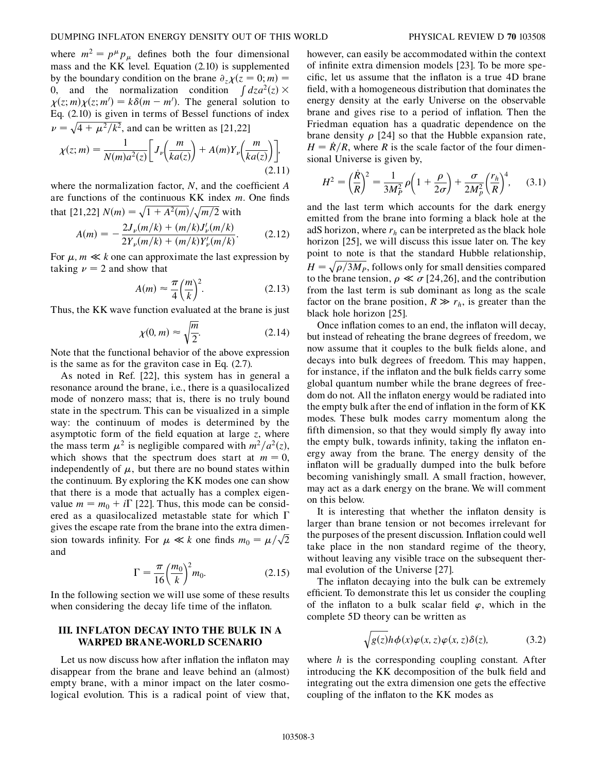where  $m^2 = p^{\mu} p_{\mu}$  defines both the four dimensional mass and the KK level. Equation (2.10) is supplemented by the boundary condition on the brane  $\partial_z \chi(z=0; m) =$ 0, and the normalization condition  $\int dz a^2(z) \times$  $\chi(z; m) \chi(z; m') = k \delta(m - m')$ . The general solution to Eq. (2.10) is given in terms of Bessel functions of index  $\nu = \sqrt{4 + \mu^2/k^2}$ , and can be written as [21,22] -<br>7 --- $\frac{1}{1}$ --------=<br>ק --<br>7 -.<br>-<br>--.<br>ر -

$$
\chi(z;m) = \frac{1}{N(m)a^2(z)} \bigg[ J_\nu\bigg(\frac{m}{ka(z)}\bigg) + A(m)Y_\nu\bigg(\frac{m}{ka(z)}\bigg) \bigg],\tag{2.11}
$$

where the normalization factor, *N*, and the coefficient *A* are functions of the continuous KK index *m*. One finds that  $[21,22]$   $N(m) = \sqrt{1 + A^2(m)} / \sqrt{m/2}$  with -<br>1 ----<br>-<br>י ----.<br>د ---.<br>-<br>י --------------

$$
A(m) = -\frac{2J_{\nu}(m/k) + (m/k)J_{\nu}'(m/k)}{2Y_{\nu}(m/k) + (m/k)Y_{\nu}'(m/k)}.
$$
 (2.12)

For  $\mu$ ,  $m \ll k$  one can approximate the last expression by taking  $\nu = 2$  and show that

$$
A(m) \approx \frac{\pi}{4} \left(\frac{m}{k}\right)^2. \tag{2.13}
$$

Thus, the KK wave function evaluated at the brane is just

$$
\chi(0, m) \approx \sqrt{\frac{m}{2}}.\tag{2.14}
$$

Note that the functional behavior of the above expression is the same as for the graviton case in Eq. (2.7).

As noted in Ref. [22], this system has in general a resonance around the brane, i.e., there is a quasilocalized mode of nonzero mass; that is, there is no truly bound state in the spectrum. This can be visualized in a simple way: the continuum of modes is determined by the asymptotic form of the field equation at large *z*, where the mass term  $\mu^2$  is negligible compared with  $m^2/a^2(z)$ , which shows that the spectrum does start at  $m = 0$ , independently of  $\mu$ , but there are no bound states within the continuum. By exploring the KK modes one can show that there is a mode that actually has a complex eigenvalue  $m = m_0 + i\Gamma$  [22]. Thus, this mode can be considered as a quasilocalized metastable state for which  $\Gamma$ gives the escape rate from the brane into the extra dimension towards infinity. For  $\mu \ll k$  one finds  $m_0 = \mu/\sqrt{2}$ -and

$$
\Gamma = \frac{\pi}{16} \left(\frac{m_0}{k}\right)^2 m_0. \tag{2.15}
$$

In the following section we will use some of these results when considering the decay life time of the inflaton.

## **III. INFLATON DECAY INTO THE BULK IN A WARPED BRANE-WORLD SCENARIO**

Let us now discuss how after inflation the inflaton may disappear from the brane and leave behind an (almost) empty brane, with a minor impact on the later cosmological evolution. This is a radical point of view that, however, can easily be accommodated within the context of infinite extra dimension models [23]. To be more specific, let us assume that the inflaton is a true 4D brane field, with a homogeneous distribution that dominates the energy density at the early Universe on the observable brane and gives rise to a period of inflation. Then the Friedman equation has a quadratic dependence on the brane density  $\rho$  [24] so that the Hubble expansion rate,  $H = R/R$ , where *R* is the scale factor of the four dimensional Universe is given by,

$$
H^{2} = \left(\frac{\dot{R}}{R}\right)^{2} = \frac{1}{3M_{P}^{2}}\rho\left(1 + \frac{\rho}{2\sigma}\right) + \frac{\sigma}{2M_{P}^{2}}\left(\frac{r_{h}}{R}\right)^{4},\qquad(3.1)
$$

and the last term which accounts for the dark energy emitted from the brane into forming a black hole at the adS horizon, where  $r_h$  can be interpreted as the black hole horizon [25], we will discuss this issue later on. The key point to note is that the standard Hubble relationship,  $H = \sqrt{\rho/3M_P}$ , follows only for small densities compared -<br>-<u>:</u> -------<br>ภ .<br>-<br>. -<br>7 --to the brane tension,  $\rho \ll \sigma$  [24,26], and the contribution from the last term is sub dominant as long as the scale factor on the brane position,  $R \gg r_h$ , is greater than the black hole horizon [25].

Once inflation comes to an end, the inflaton will decay, but instead of reheating the brane degrees of freedom, we now assume that it couples to the bulk fields alone, and decays into bulk degrees of freedom. This may happen, for instance, if the inflaton and the bulk fields carry some global quantum number while the brane degrees of freedom do not. All the inflaton energy would be radiated into the empty bulk after the end of inflation in the form of KK modes. These bulk modes carry momentum along the fifth dimension, so that they would simply fly away into the empty bulk, towards infinity, taking the inflaton energy away from the brane. The energy density of the inflaton will be gradually dumped into the bulk before becoming vanishingly small. A small fraction, however, may act as a dark energy on the brane. We will comment on this below.

It is interesting that whether the inflaton density is larger than brane tension or not becomes irrelevant for the purposes of the present discussion. Inflation could well take place in the non standard regime of the theory, without leaving any visible trace on the subsequent thermal evolution of the Universe [27].

The inflaton decaying into the bulk can be extremely efficient. To demonstrate this let us consider the coupling of the inflaton to a bulk scalar field  $\varphi$ , which in the complete 5D theory can be written as

$$
\sqrt{g(z)}h\phi(x)\varphi(x,z)\varphi(x,z)\delta(z),\qquad(3.2)
$$

where *h* is the corresponding coupling constant. After introducing the KK decomposition of the bulk field and integrating out the extra dimension one gets the effective coupling of the inflaton to the KK modes as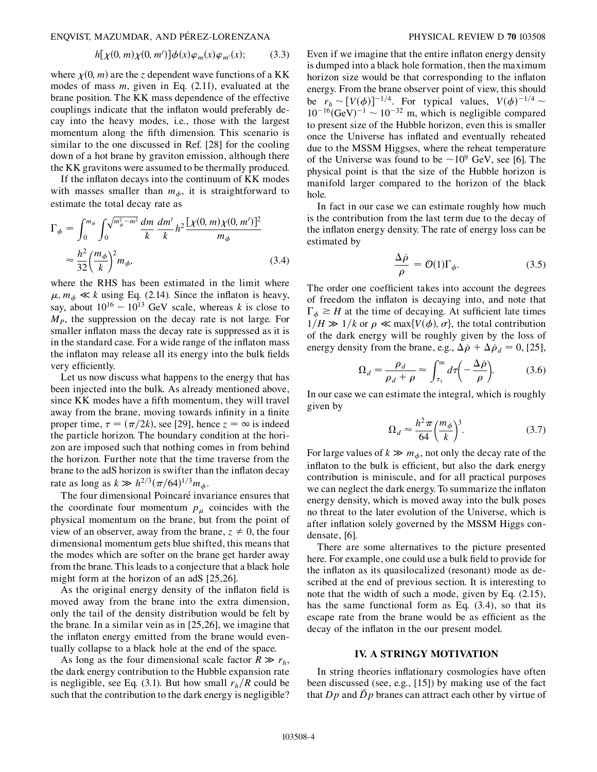ENQVIST, MAZUMDAR, AND PE´REZ-LORENZANA PHYSICAL REVIEW D **70** 103508

$$
h[\chi(0,m)\chi(0,m')] \phi(x)\varphi_m(x)\varphi_{m'}(x); \qquad (3.3)
$$

where  $\chi$ (0, *m*) are the *z* dependent wave functions of a KK modes of mass *m*, given in Eq. (2.11), evaluated at the brane position. The KK mass dependence of the effective couplings indicate that the inflaton would preferably decay into the heavy modes, i.e., those with the largest momentum along the fifth dimension. This scenario is similar to the one discussed in Ref. [28] for the cooling down of a hot brane by graviton emission, although there the KK gravitons were assumed to be thermally produced.

If the inflaton decays into the continuum of KK modes with masses smaller than  $m_{\phi}$ , it is straightforward to estimate the total decay rate as

$$
\Gamma_{\phi} = \int_{0}^{m_{\phi}} \int_{0}^{\sqrt{m_{\phi}^{2} - m^{2}}} \frac{dm}{k} \frac{dm'}{k} h^{2} \frac{[\chi(0, m)\chi(0, m')]^{2}}{m_{\phi}}
$$

$$
\approx \frac{h^{2}}{32} \left(\frac{m_{\phi}}{k}\right)^{2} m_{\phi},
$$
(3.4)

where the RHS has been estimated in the limit where  $\mu$ ,  $m_{\phi} \ll k$  using Eq. (2.14). Since the inflaton is heavy, say, about  $10^{16} - 10^{13}$  GeV scale, whereas *k* is close to  $M<sub>P</sub>$ , the suppression on the decay rate is not large. For smaller inflaton mass the decay rate is suppressed as it is in the standard case. For a wide range of the inflaton mass the inflaton may release all its energy into the bulk fields very efficiently.

Let us now discuss what happens to the energy that has been injected into the bulk. As already mentioned above, since KK modes have a fifth momentum, they will travel away from the brane, moving towards infinity in a finite proper time,  $\tau = (\pi/2k)$ , see [29], hence  $z = \infty$  is indeed the particle horizon. The boundary condition at the horizon are imposed such that nothing comes in from behind the horizon. Further note that the time traverse from the brane to the adS horizon is swifter than the inflaton decay rate as long as  $k \gg h^{2/3} (\pi/64)^{1/3} m_{\phi}$ .

The four dimensional Poincaré invariance ensures that the coordinate four momentum  $p_{\mu}$  coincides with the physical momentum on the brane, but from the point of view of an observer, away from the brane,  $z \neq 0$ , the four dimensional momentum gets blue shifted, this means that the modes which are softer on the brane get harder away from the brane. This leads to a conjecture that a black hole might form at the horizon of an adS [25,26].

As the original energy density of the inflaton field is moved away from the brane into the extra dimension, only the tail of the density distribution would be felt by the brane. In a similar vein as in [25,26], we imagine that the inflaton energy emitted from the brane would eventually collapse to a black hole at the end of the space.

As long as the four dimensional scale factor  $R \gg r_h$ , the dark energy contribution to the Hubble expansion rate is negligible, see Eq. (3.1). But how small  $r_h/R$  could be such that the contribution to the dark energy is negligible?

Even if we imagine that the entire inflaton energy density is dumped into a black hole formation, then the maximum horizon size would be that corresponding to the inflaton energy. From the brane observer point of view, this should be  $r_h \sim [V(\phi)]^{-1/4}$ . For typical values,  $V(\phi)^{-1/4} \sim$  $10^{-16}$ (GeV)<sup>-1</sup> ~  $10^{-32}$  m, which is negligible compared to present size of the Hubble horizon, even this is smaller once the Universe has inflated and eventually reheated due to the MSSM Higgses, where the reheat temperature of the Universe was found to be  $\sim 10^9$  GeV, see [6]. The physical point is that the size of the Hubble horizon is manifold larger compared to the horizon of the black hole.

In fact in our case we can estimate roughly how much is the contribution from the last term due to the decay of the inflaton energy density. The rate of energy loss can be estimated by

$$
\frac{\Delta \dot{\rho}}{\rho} = \mathcal{O}(1)\Gamma_{\phi}.\tag{3.5}
$$

The order one coefficient takes into account the degrees of freedom the inflaton is decaying into, and note that  $\Gamma_{\phi} \geq H$  at the time of decaying. At sufficient late times  $1/H \gg 1/k$  or  $\rho \ll \max\{V(\phi), \sigma\}$ , the total contribution of the dark energy will be roughly given by the loss of energy density from the brane, e.g.,  $\Delta \dot{\rho} + \Delta \dot{\rho}_d = 0$ , [25],

$$
\Omega_d = \frac{\rho_d}{\rho_d + \rho} \approx \int_{\tau_1}^{\infty} d\tau \left( -\frac{\Delta \dot{\rho}}{\rho} \right). \tag{3.6}
$$

In our case we can estimate the integral, which is roughly given by

$$
\Omega_d \approx \frac{h^2 \pi}{64} \left(\frac{m_\phi}{k}\right)^3. \tag{3.7}
$$

For large values of  $k \gg m_{\phi}$ , not only the decay rate of the inflaton to the bulk is efficient, but also the dark energy contribution is miniscule, and for all practical purposes we can neglect the dark energy. To summarize the inflaton energy density, which is moved away into the bulk poses no threat to the later evolution of the Universe, which is after inflation solely governed by the MSSM Higgs condensate, [6].

There are some alternatives to the picture presented here. For example, one could use a bulk field to provide for the inflaton as its quasilocalized (resonant) mode as described at the end of previous section. It is interesting to note that the width of such a mode, given by Eq. (2.15), has the same functional form as Eq. (3.4), so that its escape rate from the brane would be as efficient as the decay of the inflaton in the our present model.

### **IV. A STRINGY MOTIVATION**

In string theories inflationary cosmologies have often been discussed (see, e.g., [15]) by making use of the fact that *Dp* and *Dp* branes can attract each other by virtue of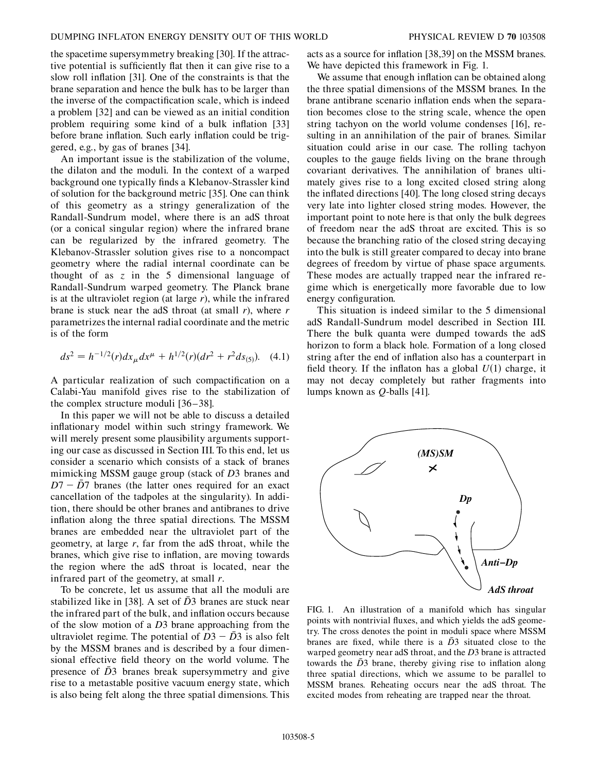the spacetime supersymmetry breaking [30]. If the attractive potential is sufficiently flat then it can give rise to a slow roll inflation [31]. One of the constraints is that the brane separation and hence the bulk has to be larger than the inverse of the compactification scale, which is indeed a problem [32] and can be viewed as an initial condition problem requiring some kind of a bulk inflation [33] before brane inflation. Such early inflation could be triggered, e.g., by gas of branes [34].

An important issue is the stabilization of the volume, the dilaton and the moduli. In the context of a warped background one typically finds a Klebanov-Strassler kind of solution for the background metric [35]. One can think of this geometry as a stringy generalization of the Randall-Sundrum model, where there is an adS throat (or a conical singular region) where the infrared brane can be regularized by the infrared geometry. The Klebanov-Strassler solution gives rise to a noncompact geometry where the radial internal coordinate can be thought of as *z* in the 5 dimensional language of Randall-Sundrum warped geometry. The Planck brane is at the ultraviolet region (at large *r*), while the infrared brane is stuck near the adS throat (at small *r*), where *r* parametrizes the internal radial coordinate and the metric is of the form

$$
ds^{2} = h^{-1/2}(r)dx_{\mu}dx^{\mu} + h^{1/2}(r)(dr^{2} + r^{2}ds_{(5)}).
$$
 (4.1)

A particular realization of such compactification on a Calabi-Yau manifold gives rise to the stabilization of the complex structure moduli [36–38].

In this paper we will not be able to discuss a detailed inflationary model within such stringy framework. We will merely present some plausibility arguments supporting our case as discussed in Section III. To this end, let us consider a scenario which consists of a stack of branes mimicking MSSM gauge group (stack of *D*3 branes and  $D7 - \overline{D7}$  branes (the latter ones required for an exact cancellation of the tadpoles at the singularity). In addition, there should be other branes and antibranes to drive inflation along the three spatial directions. The MSSM branes are embedded near the ultraviolet part of the geometry, at large *r*, far from the adS throat, while the branes, which give rise to inflation, are moving towards the region where the adS throat is located, near the infrared part of the geometry, at small *r*.

To be concrete, let us assume that all the moduli are stabilized like in [38]. A set of  $\bar{D}3$  branes are stuck near the infrared part of the bulk, and inflation occurs because of the slow motion of a *D*3 brane approaching from the ultraviolet regime. The potential of  $\overrightarrow{D3} - \overrightarrow{D3}$  is also felt by the MSSM branes and is described by a four dimensional effective field theory on the world volume. The presence of  $\overline{D}3$  branes break supersymmetry and give rise to a metastable positive vacuum energy state, which is also being felt along the three spatial dimensions. This acts as a source for inflation [38,39] on the MSSM branes. We have depicted this framework in Fig. 1.

We assume that enough inflation can be obtained along the three spatial dimensions of the MSSM branes. In the brane antibrane scenario inflation ends when the separation becomes close to the string scale, whence the open string tachyon on the world volume condenses [16], resulting in an annihilation of the pair of branes. Similar situation could arise in our case. The rolling tachyon couples to the gauge fields living on the brane through covariant derivatives. The annihilation of branes ultimately gives rise to a long excited closed string along the inflated directions [40]. The long closed string decays very late into lighter closed string modes. However, the important point to note here is that only the bulk degrees of freedom near the adS throat are excited. This is so because the branching ratio of the closed string decaying into the bulk is still greater compared to decay into brane degrees of freedom by virtue of phase space arguments. These modes are actually trapped near the infrared regime which is energetically more favorable due to low energy configuration.

This situation is indeed similar to the 5 dimensional adS Randall-Sundrum model described in Section III. There the bulk quanta were dumped towards the adS horizon to form a black hole. Formation of a long closed string after the end of inflation also has a counterpart in field theory. If the inflaton has a global  $U(1)$  charge, it may not decay completely but rather fragments into lumps known as *Q*-balls [41].



FIG. 1. An illustration of a manifold which has singular points with nontrivial fluxes, and which yields the adS geometry. The cross denotes the point in moduli space where MSSM branes are fixed, while there is a  $\overline{D}3$  situated close to the warped geometry near adS throat, and the *D*3 brane is attracted towards the  $\bar{D}3$  brane, thereby giving rise to inflation along three spatial directions, which we assume to be parallel to MSSM branes. Reheating occurs near the adS throat. The excited modes from reheating are trapped near the throat.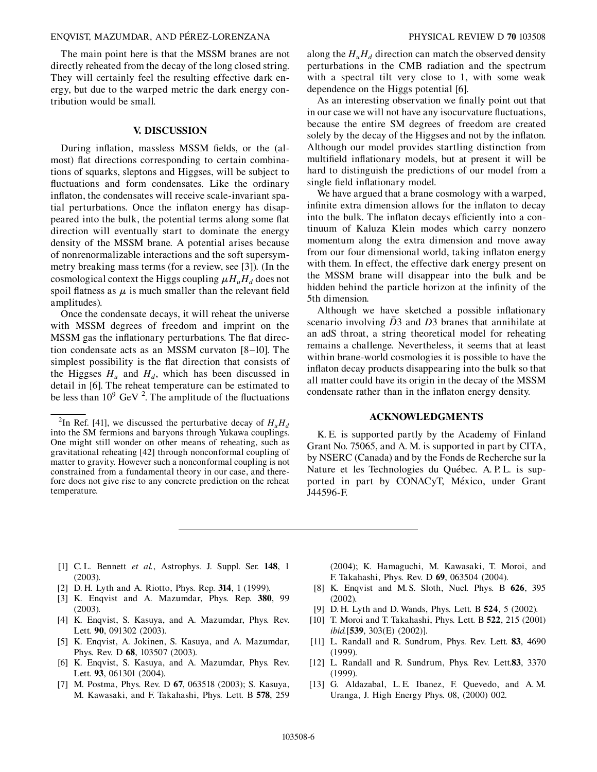### ENQVIST, MAZUMDAR, AND PE´REZ-LORENZANA PHYSICAL REVIEW D **70** 103508

The main point here is that the MSSM branes are not directly reheated from the decay of the long closed string. They will certainly feel the resulting effective dark energy, but due to the warped metric the dark energy contribution would be small.

# **V. DISCUSSION**

During inflation, massless MSSM fields, or the (almost) flat directions corresponding to certain combinations of squarks, sleptons and Higgses, will be subject to fluctuations and form condensates. Like the ordinary inflaton, the condensates will receive scale-invariant spatial perturbations. Once the inflaton energy has disappeared into the bulk, the potential terms along some flat direction will eventually start to dominate the energy density of the MSSM brane. A potential arises because of nonrenormalizable interactions and the soft supersymmetry breaking mass terms (for a review, see [3]). (In the cosmological context the Higgs coupling  $\mu H_u H_d$  does not spoil flatness as  $\mu$  is much smaller than the relevant field amplitudes).

Once the condensate decays, it will reheat the universe with MSSM degrees of freedom and imprint on the MSSM gas the inflationary perturbations. The flat direction condensate acts as an MSSM curvaton [8–10]. The simplest possibility is the flat direction that consists of the Higgses  $H_u$  and  $H_d$ , which has been discussed in detail in [6]. The reheat temperature can be estimated to be less than  $10^9$  GeV <sup>2</sup>. The amplitude of the fluctuations along the  $H_u H_d$  direction can match the observed density perturbations in the CMB radiation and the spectrum with a spectral tilt very close to 1, with some weak dependence on the Higgs potential [6].

As an interesting observation we finally point out that in our case we will not have any isocurvature fluctuations, because the entire SM degrees of freedom are created solely by the decay of the Higgses and not by the inflaton. Although our model provides startling distinction from multifield inflationary models, but at present it will be hard to distinguish the predictions of our model from a single field inflationary model.

We have argued that a brane cosmology with a warped, infinite extra dimension allows for the inflaton to decay into the bulk. The inflaton decays efficiently into a continuum of Kaluza Klein modes which carry nonzero momentum along the extra dimension and move away from our four dimensional world, taking inflaton energy with them. In effect, the effective dark energy present on the MSSM brane will disappear into the bulk and be hidden behind the particle horizon at the infinity of the 5th dimension.

Although we have sketched a possible inflationary scenario involving  $\bar{D}$ 3 and  $\bar{D}$ 3 branes that annihilate at an adS throat, a string theoretical model for reheating remains a challenge. Nevertheless, it seems that at least within brane-world cosmologies it is possible to have the inflaton decay products disappearing into the bulk so that all matter could have its origin in the decay of the MSSM condensate rather than in the inflaton energy density.

## **ACKNOWLEDGMENTS**

K. E. is supported partly by the Academy of Finland Grant No. 75065, and A. M. is supported in part by CITA, by NSERC (Canada) and by the Fonds de Recherche sur la Nature et les Technologies du Québec. A. P. L. is supported in part by CONACyT, México, under Grant J44596-F.

- [1] C. L. Bennett *et al.*, Astrophys. J. Suppl. Ser. **148**, 1 (2003).
- [2] D. H. Lyth and A. Riotto, Phys. Rep. **314**, 1 (1999).
- [3] K. Enqvist and A. Mazumdar, Phys. Rep. **380**, 99 (2003).
- [4] K. Enqvist, S. Kasuya, and A. Mazumdar, Phys. Rev. Lett. **90**, 091302 (2003).
- [5] K. Enqvist, A. Jokinen, S. Kasuya, and A. Mazumdar, Phys. Rev. D **68**, 103507 (2003).
- [6] K. Enqvist, S. Kasuya, and A. Mazumdar, Phys. Rev. Lett. **93**, 061301 (2004).
- [7] M. Postma, Phys. Rev. D **67**, 063518 (2003); S. Kasuya, M. Kawasaki, and F. Takahashi, Phys. Lett. B **578**, 259

(2004); K. Hamaguchi, M. Kawasaki, T. Moroi, and F. Takahashi, Phys. Rev. D **69**, 063504 (2004).

- [8] K. Enqvist and M. S. Sloth, Nucl. Phys. B **626**, 395 (2002).
- [9] D. H. Lyth and D. Wands, Phys. Lett. B **524**, 5 (2002).
- [10] T. Moroi and T. Takahashi, Phys. Lett. B **522**, 215 (2001) *ibid.*[**539**, 303(E) (2002)].
- [11] L. Randall and R. Sundrum, Phys. Rev. Lett. **83**, 4690 (1999).
- [12] L. Randall and R. Sundrum, Phys. Rev. Lett.**83**, 3370 (1999).
- [13] G. Aldazabal, L.E. Ibanez, F. Quevedo, and A.M. Uranga, J. High Energy Phys. 08, (2000) 002.

<sup>&</sup>lt;sup>2</sup>In Ref. [41], we discussed the perturbative decay of  $H_u H_d$ into the SM fermions and baryons through Yukawa couplings. One might still wonder on other means of reheating, such as gravitational reheating [42] through nonconformal coupling of matter to gravity. However such a nonconformal coupling is not constrained from a fundamental theory in our case, and therefore does not give rise to any concrete prediction on the reheat temperature.